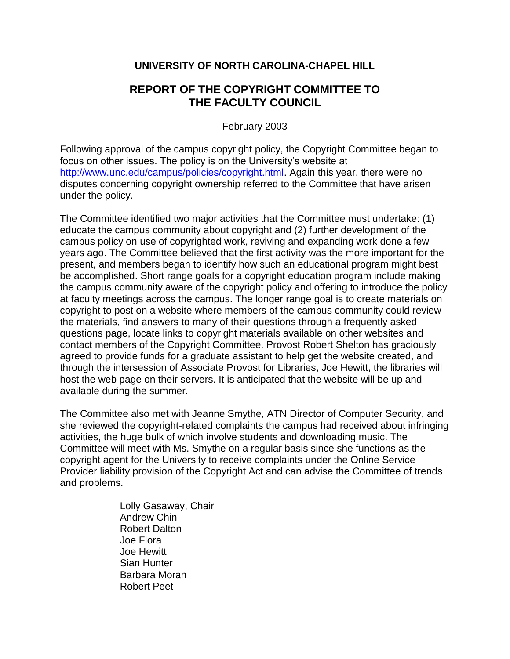## **UNIVERSITY OF NORTH CAROLINA-CHAPEL HILL**

## **REPORT OF THE COPYRIGHT COMMITTEE TO THE FACULTY COUNCIL**

February 2003

Following approval of the campus copyright policy, the Copyright Committee began to focus on other issues. The policy is on the University's website at [http://www.unc.edu/campus/policies/copyright.html.](http://www.unc.edu/campus/policies/copyright.html) Again this year, there were no disputes concerning copyright ownership referred to the Committee that have arisen under the policy.

The Committee identified two major activities that the Committee must undertake: (1) educate the campus community about copyright and (2) further development of the campus policy on use of copyrighted work, reviving and expanding work done a few years ago. The Committee believed that the first activity was the more important for the present, and members began to identify how such an educational program might best be accomplished. Short range goals for a copyright education program include making the campus community aware of the copyright policy and offering to introduce the policy at faculty meetings across the campus. The longer range goal is to create materials on copyright to post on a website where members of the campus community could review the materials, find answers to many of their questions through a frequently asked questions page, locate links to copyright materials available on other websites and contact members of the Copyright Committee. Provost Robert Shelton has graciously agreed to provide funds for a graduate assistant to help get the website created, and through the intersession of Associate Provost for Libraries, Joe Hewitt, the libraries will host the web page on their servers. It is anticipated that the website will be up and available during the summer.

The Committee also met with Jeanne Smythe, ATN Director of Computer Security, and she reviewed the copyright-related complaints the campus had received about infringing activities, the huge bulk of which involve students and downloading music. The Committee will meet with Ms. Smythe on a regular basis since she functions as the copyright agent for the University to receive complaints under the Online Service Provider liability provision of the Copyright Act and can advise the Committee of trends and problems.

> Lolly Gasaway, Chair Andrew Chin Robert Dalton Joe Flora Joe Hewitt Sian Hunter Barbara Moran Robert Peet